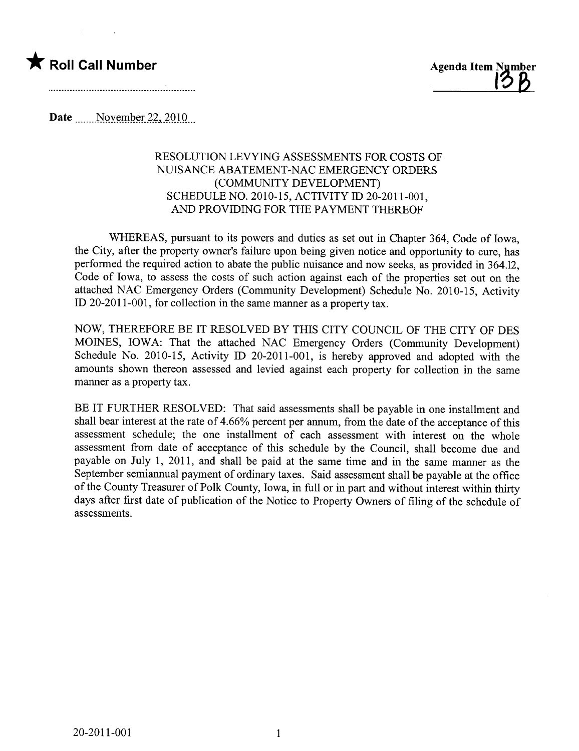



Date \_\_\_\_\_\_November 22, 2010

## RESOLUTION LEVYING ASSESSMENTS FOR COSTS OF NUISANCE ABATEMENT-NAC EMERGENCY ORDERS (COMMUNITY DEVELOPMENT) SCHEDULE NO. 2010-15, ACTIVITY ID 20-2011-001, AND PROVIDING FOR THE PAYMENT THEREOF

WHEREAS, pursuant to its powers and duties as set out in Chapter 364, Code of Iowa, the City, after the property owner's failure upon being given notice and opportunity to cure, has performed the required action to abate the public nuisance and now seeks, as provided in 364.12, Code of Iowa, to assess the costs of such action against each of the properties set out on the attached NAC Emergency Orders (Community Development) Schedule No. 2010-15, Activity ID 20-2011-001, for collection in the same manner as a property tax.

NOW, THEREFORE BE IT RESOLVED BY THIS CITY COUNCIL OF THE CITY OF DES MOINES, IOWA: That the attached NAC Emergency Orders (Community Development) Schedule No. 2010-15, Activity ID 20-2011-001, is hereby approved and adopted with the amounts shown thereon assessed and levied against each property for collection in the same maner as a property tax.

BE IT FURTHER RESOLVED: That said assessments shall be payable in one installment and shall bear interest at the rate of 4.66% percent per annum, from the date of the acceptance of this assessment schedule; the one installment of each assessment with interest on the whole assessment from date of acceptance of this schedule by the Council, shall become due and payable on July 1, 2011, and shall be paid at the same time and in the same manner as the September semiannual payment of ordinary taxes. Said assessment shall be payable at the office of the County Treasurer of Polk County, Iowa, in full or in part and without interest within thirty days after first date of publication of the Notice to Property Owners of filing of the schedule of assessments.